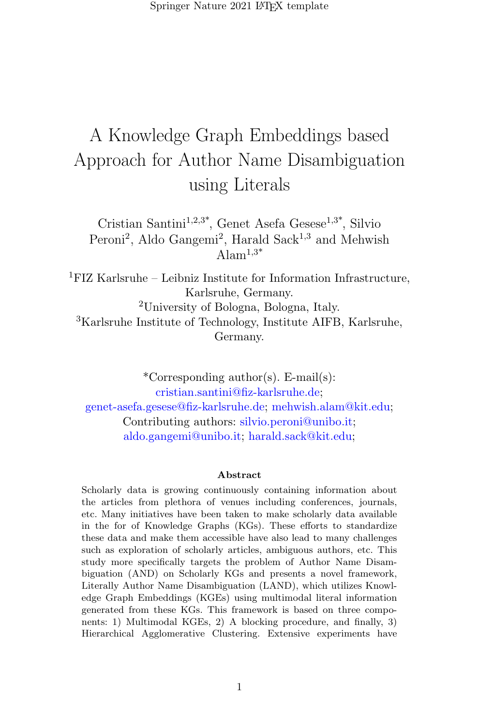Springer Nature 2021 LAT<sub>E</sub>X template

# A Knowledge Graph Embeddings based Approach for Author Name Disambiguation using Literals

Cristian Santini<sup>1,2,3\*</sup>, Genet Asefa Gesese<sup>1,3\*</sup>, Silvio Peroni<sup>2</sup>, Aldo Gangemi<sup>2</sup>, Harald Sack<sup>1,3</sup> and Mehwish  $Alam^{1,3*}$ 

<sup>1</sup>FIZ Karlsruhe – Leibniz Institute for Information Infrastructure, Karlsruhe, Germany. <sup>2</sup>University of Bologna, Bologna, Italy. <sup>3</sup>Karlsruhe Institute of Technology, Institute AIFB, Karlsruhe, Germany.

\*Corresponding author(s). E-mail(s): cristian.santini@fiz-karlsruhe.de; genet-asefa.gesese@fiz-karlsruhe.de; mehwish.alam@kit.edu; Contributing authors: silvio.peroni@unibo.it; aldo.gangemi@unibo.it; harald.sack@kit.edu;

#### Abstract

Scholarly data is growing continuously containing information about the articles from plethora of venues including conferences, journals, etc. Many initiatives have been taken to make scholarly data available in the for of Knowledge Graphs (KGs). These efforts to standardize these data and make them accessible have also lead to many challenges such as exploration of scholarly articles, ambiguous authors, etc. This study more specifically targets the problem of Author Name Disambiguation (AND) on Scholarly KGs and presents a novel framework, Literally Author Name Disambiguation (LAND), which utilizes Knowledge Graph Embeddings (KGEs) using multimodal literal information generated from these KGs. This framework is based on three components: 1) Multimodal KGEs, 2) A blocking procedure, and finally, 3) Hierarchical Agglomerative Clustering. Extensive experiments have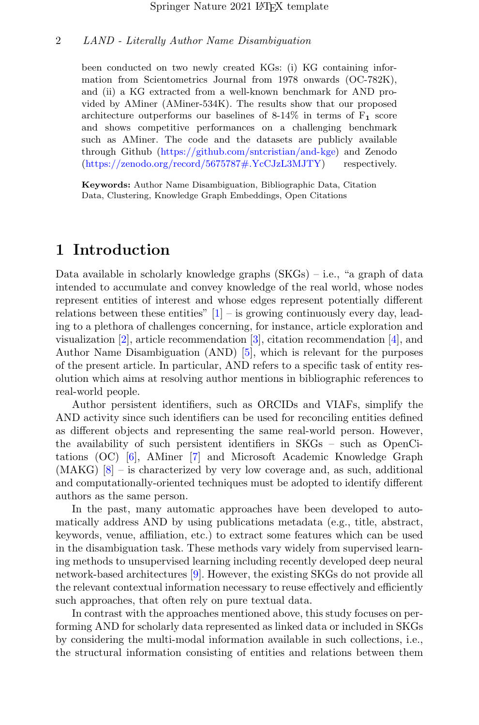been conducted on two newly created KGs: (i) KG containing information from Scientometrics Journal from 1978 onwards (OC-782K), and (ii) a KG extracted from a well-known benchmark for AND provided by AMiner (AMiner-534K). The results show that our proposed architecture outperforms our baselines of 8-14% in terms of  $F_1$  score and shows competitive performances on a challenging benchmark such as AMiner. The code and the datasets are publicly available through Github [\(https://github.com/sntcristian/and-kge\)](https://github.com/sntcristian/and-kge) and Zenodo [\(https://zenodo.org/record/5675787#.YcCJzL3MJTY\)](https://zenodo.org/record/5675787#.YcCJzL3MJTY) respectively.

Keywords: Author Name Disambiguation, Bibliographic Data, Citation Data, Clustering, Knowledge Graph Embeddings, Open Citations

# 1 Introduction

Data available in scholarly knowledge graphs (SKGs) – i.e., "a graph of data intended to accumulate and convey knowledge of the real world, whose nodes represent entities of interest and whose edges represent potentially different relations between these entities"  $[1]$  – is growing continuously every day, leading to a plethora of challenges concerning, for instance, article exploration and visualization [\[2\]](#page-17-1), article recommendation [\[3\]](#page-17-2), citation recommendation [\[4\]](#page-18-0), and Author Name Disambiguation (AND) [\[5\]](#page-18-1), which is relevant for the purposes of the present article. In particular, AND refers to a specific task of entity resolution which aims at resolving author mentions in bibliographic references to real-world people.

Author persistent identifiers, such as ORCIDs and VIAFs, simplify the AND activity since such identifiers can be used for reconciling entities defined as different objects and representing the same real-world person. However, the availability of such persistent identifiers in SKGs – such as OpenCitations (OC) [\[6\]](#page-18-2), AMiner [\[7\]](#page-18-3) and Microsoft Academic Knowledge Graph  $(MAKG)$   $[8]$  – is characterized by very low coverage and, as such, additional and computationally-oriented techniques must be adopted to identify different authors as the same person.

In the past, many automatic approaches have been developed to automatically address AND by using publications metadata (e.g., title, abstract, keywords, venue, affiliation, etc.) to extract some features which can be used in the disambiguation task. These methods vary widely from supervised learning methods to unsupervised learning including recently developed deep neural network-based architectures [\[9\]](#page-18-5). However, the existing SKGs do not provide all the relevant contextual information necessary to reuse effectively and efficiently such approaches, that often rely on pure textual data.

In contrast with the approaches mentioned above, this study focuses on performing AND for scholarly data represented as linked data or included in SKGs by considering the multi-modal information available in such collections, i.e., the structural information consisting of entities and relations between them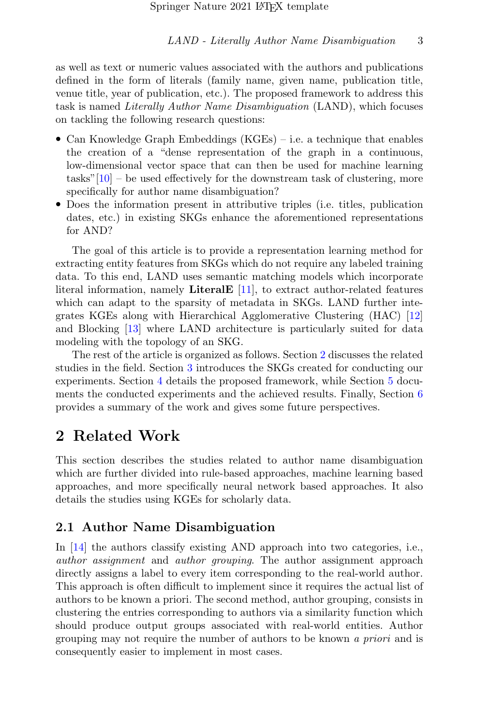as well as text or numeric values associated with the authors and publications defined in the form of literals (family name, given name, publication title, venue title, year of publication, etc.). The proposed framework to address this task is named Literally Author Name Disambiguation (LAND), which focuses on tackling the following research questions:

- Can Knowledge Graph Embeddings (KGEs) i.e. a technique that enables the creation of a "dense representation of the graph in a continuous, low-dimensional vector space that can then be used for machine learning tasks" $[10]$  – be used effectively for the downstream task of clustering, more specifically for author name disambiguation?
- Does the information present in attributive triples (i.e. titles, publication dates, etc.) in existing SKGs enhance the aforementioned representations for AND?

The goal of this article is to provide a representation learning method for extracting entity features from SKGs which do not require any labeled training data. To this end, LAND uses semantic matching models which incorporate literal information, namely LiteralE [\[11\]](#page-18-7), to extract author-related features which can adapt to the sparsity of metadata in SKGs. LAND further integrates KGEs along with Hierarchical Agglomerative Clustering (HAC) [\[12\]](#page-18-8) and Blocking [\[13\]](#page-19-0) where LAND architecture is particularly suited for data modeling with the topology of an SKG.

The rest of the article is organized as follows. Section [2](#page-2-0) discusses the related studies in the field. Section [3](#page-5-0) introduces the SKGs created for conducting our experiments. Section [4](#page-8-0) details the proposed framework, while Section [5](#page-11-0) documents the conducted experiments and the achieved results. Finally, Section [6](#page-17-3) provides a summary of the work and gives some future perspectives.

# <span id="page-2-0"></span>2 Related Work

This section describes the studies related to author name disambiguation which are further divided into rule-based approaches, machine learning based approaches, and more specifically neural network based approaches. It also details the studies using KGEs for scholarly data.

# 2.1 Author Name Disambiguation

In [\[14\]](#page-19-1) the authors classify existing AND approach into two categories, i.e., author assignment and author grouping. The author assignment approach directly assigns a label to every item corresponding to the real-world author. This approach is often difficult to implement since it requires the actual list of authors to be known a priori. The second method, author grouping, consists in clustering the entries corresponding to authors via a similarity function which should produce output groups associated with real-world entities. Author grouping may not require the number of authors to be known a priori and is consequently easier to implement in most cases.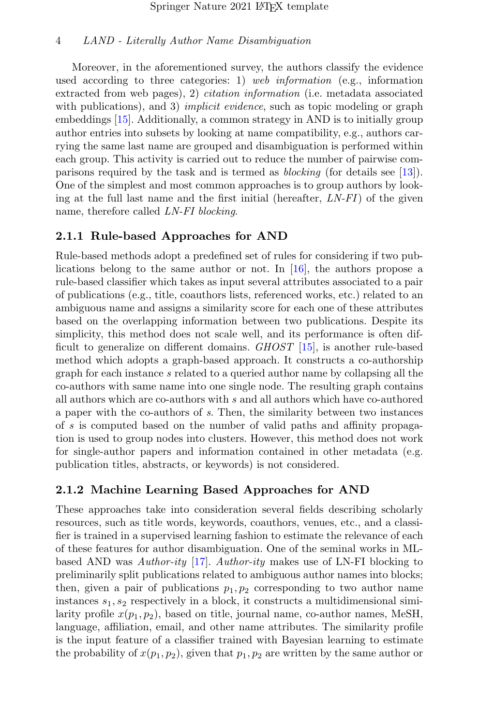Moreover, in the aforementioned survey, the authors classify the evidence used according to three categories: 1) web information (e.g., information extracted from web pages), 2) *citation information* (i.e. metadata associated with publications), and 3) *implicit evidence*, such as topic modeling or graph embeddings [\[15\]](#page-19-2). Additionally, a common strategy in AND is to initially group author entries into subsets by looking at name compatibility, e.g., authors carrying the same last name are grouped and disambiguation is performed within each group. This activity is carried out to reduce the number of pairwise comparisons required by the task and is termed as blocking (for details see [\[13\]](#page-19-0)). One of the simplest and most common approaches is to group authors by looking at the full last name and the first initial (hereafter,  $LN$ - $FI$ ) of the given name, therefore called LN-FI blocking.

### 2.1.1 Rule-based Approaches for AND

Rule-based methods adopt a predefined set of rules for considering if two publications belong to the same author or not. In [\[16\]](#page-19-3), the authors propose a rule-based classifier which takes as input several attributes associated to a pair of publications (e.g., title, coauthors lists, referenced works, etc.) related to an ambiguous name and assigns a similarity score for each one of these attributes based on the overlapping information between two publications. Despite its simplicity, this method does not scale well, and its performance is often difficult to generalize on different domains. GHOST [\[15\]](#page-19-2), is another rule-based method which adopts a graph-based approach. It constructs a co-authorship graph for each instance s related to a queried author name by collapsing all the co-authors with same name into one single node. The resulting graph contains all authors which are co-authors with s and all authors which have co-authored a paper with the co-authors of s. Then, the similarity between two instances of s is computed based on the number of valid paths and affinity propagation is used to group nodes into clusters. However, this method does not work for single-author papers and information contained in other metadata (e.g. publication titles, abstracts, or keywords) is not considered.

# 2.1.2 Machine Learning Based Approaches for AND

These approaches take into consideration several fields describing scholarly resources, such as title words, keywords, coauthors, venues, etc., and a classifier is trained in a supervised learning fashion to estimate the relevance of each of these features for author disambiguation. One of the seminal works in MLbased AND was Author-ity  $[17]$ . Author-ity makes use of LN-FI blocking to preliminarily split publications related to ambiguous author names into blocks; then, given a pair of publications  $p_1, p_2$  corresponding to two author name instances  $s_1, s_2$  respectively in a block, it constructs a multidimensional similarity profile  $x(p_1, p_2)$ , based on title, journal name, co-author names, MeSH, language, affiliation, email, and other name attributes. The similarity profile is the input feature of a classifier trained with Bayesian learning to estimate the probability of  $x(p_1, p_2)$ , given that  $p_1, p_2$  are written by the same author or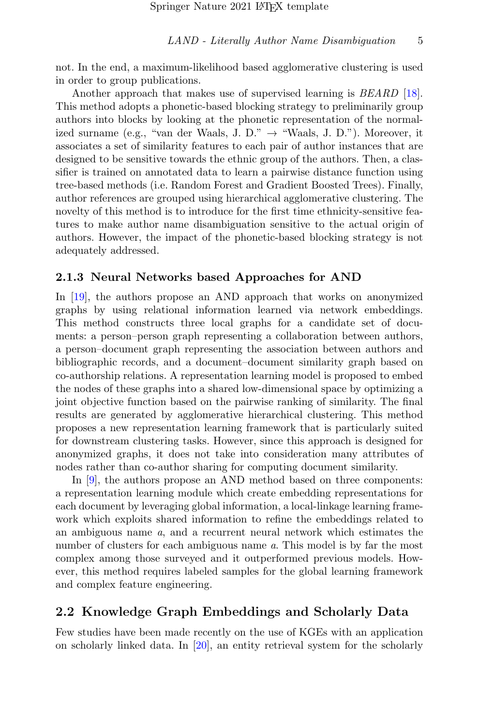not. In the end, a maximum-likelihood based agglomerative clustering is used in order to group publications.

Another approach that makes use of supervised learning is *BEARD* [\[18\]](#page-19-5). This method adopts a phonetic-based blocking strategy to preliminarily group authors into blocks by looking at the phonetic representation of the normalized surname (e.g., "van der Waals, J. D."  $\rightarrow$  "Waals, J. D."). Moreover, it associates a set of similarity features to each pair of author instances that are designed to be sensitive towards the ethnic group of the authors. Then, a classifier is trained on annotated data to learn a pairwise distance function using tree-based methods (i.e. Random Forest and Gradient Boosted Trees). Finally, author references are grouped using hierarchical agglomerative clustering. The novelty of this method is to introduce for the first time ethnicity-sensitive features to make author name disambiguation sensitive to the actual origin of authors. However, the impact of the phonetic-based blocking strategy is not adequately addressed.

#### 2.1.3 Neural Networks based Approaches for AND

In [\[19\]](#page-19-6), the authors propose an AND approach that works on anonymized graphs by using relational information learned via network embeddings. This method constructs three local graphs for a candidate set of documents: a person–person graph representing a collaboration between authors, a person–document graph representing the association between authors and bibliographic records, and a document–document similarity graph based on co-authorship relations. A representation learning model is proposed to embed the nodes of these graphs into a shared low-dimensional space by optimizing a joint objective function based on the pairwise ranking of similarity. The final results are generated by agglomerative hierarchical clustering. This method proposes a new representation learning framework that is particularly suited for downstream clustering tasks. However, since this approach is designed for anonymized graphs, it does not take into consideration many attributes of nodes rather than co-author sharing for computing document similarity.

In [\[9\]](#page-18-5), the authors propose an AND method based on three components: a representation learning module which create embedding representations for each document by leveraging global information, a local-linkage learning framework which exploits shared information to refine the embeddings related to an ambiguous name a, and a recurrent neural network which estimates the number of clusters for each ambiguous name a. This model is by far the most complex among those surveyed and it outperformed previous models. However, this method requires labeled samples for the global learning framework and complex feature engineering.

### 2.2 Knowledge Graph Embeddings and Scholarly Data

Few studies have been made recently on the use of KGEs with an application on scholarly linked data. In  $[20]$ , an entity retrieval system for the scholarly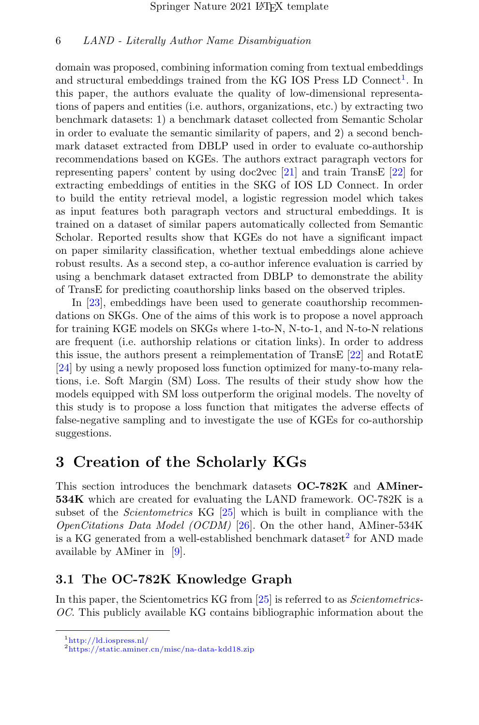domain was proposed, combining information coming from textual embeddings and structural embeddings trained from the KG IOS Press  $LD$  Connect<sup>[1](#page-5-1)</sup>. In this paper, the authors evaluate the quality of low-dimensional representations of papers and entities (i.e. authors, organizations, etc.) by extracting two benchmark datasets: 1) a benchmark dataset collected from Semantic Scholar in order to evaluate the semantic similarity of papers, and 2) a second benchmark dataset extracted from DBLP used in order to evaluate co-authorship recommendations based on KGEs. The authors extract paragraph vectors for representing papers' content by using doc2vec [\[21\]](#page-19-8) and train TransE [\[22\]](#page-20-0) for extracting embeddings of entities in the SKG of IOS LD Connect. In order to build the entity retrieval model, a logistic regression model which takes as input features both paragraph vectors and structural embeddings. It is trained on a dataset of similar papers automatically collected from Semantic Scholar. Reported results show that KGEs do not have a significant impact on paper similarity classification, whether textual embeddings alone achieve robust results. As a second step, a co-author inference evaluation is carried by using a benchmark dataset extracted from DBLP to demonstrate the ability of TransE for predicting coauthorship links based on the observed triples.

In [\[23\]](#page-20-1), embeddings have been used to generate coauthorship recommendations on SKGs. One of the aims of this work is to propose a novel approach for training KGE models on SKGs where 1-to-N, N-to-1, and N-to-N relations are frequent (i.e. authorship relations or citation links). In order to address this issue, the authors present a reimplementation of TransE [\[22\]](#page-20-0) and RotatE [\[24\]](#page-20-2) by using a newly proposed loss function optimized for many-to-many relations, i.e. Soft Margin (SM) Loss. The results of their study show how the models equipped with SM loss outperform the original models. The novelty of this study is to propose a loss function that mitigates the adverse effects of false-negative sampling and to investigate the use of KGEs for co-authorship suggestions.

# <span id="page-5-0"></span>3 Creation of the Scholarly KGs

This section introduces the benchmark datasets OC-782K and AMiner-534K which are created for evaluating the LAND framework. OC-782K is a subset of the *Scientometrics* KG [\[25\]](#page-20-3) which is built in compliance with the OpenCitations Data Model (OCDM) [\[26\]](#page-20-4). On the other hand, AMiner-534K is a KG generated from a well-established benchmark dataset<sup>[2](#page-5-2)</sup> for AND made available by AMiner in [\[9\]](#page-18-5).

# 3.1 The OC-782K Knowledge Graph

In this paper, the Scientometrics KG from [\[25\]](#page-20-3) is referred to as *Scientometrics*-OC. This publicly available KG contains bibliographic information about the

<span id="page-5-1"></span><sup>1</sup><http://ld.iospress.nl/>

<span id="page-5-2"></span><sup>2</sup><https://static.aminer.cn/misc/na-data-kdd18.zip>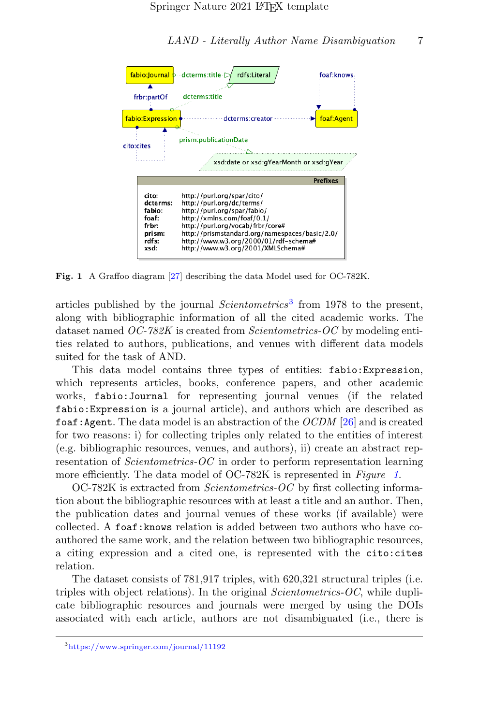



<span id="page-6-1"></span>Fig. 1 A Graffoo diagram [\[27\]](#page-20-5) describing the data Model used for OC-782K.

articles published by the journal  $Scientometrics<sup>3</sup>$  $Scientometrics<sup>3</sup>$  $Scientometrics<sup>3</sup>$  from 1978 to the present, along with bibliographic information of all the cited academic works. The dataset named  $OC-782K$  is created from *Scientometrics-OC* by modeling entities related to authors, publications, and venues with different data models suited for the task of AND.

This data model contains three types of entities: fabio:Expression, which represents articles, books, conference papers, and other academic works, fabio:Journal for representing journal venues (if the related fabio:Expression is a journal article), and authors which are described as foaf: Agent. The data model is an abstraction of the *OCDM* [\[26\]](#page-20-4) and is created for two reasons: i) for collecting triples only related to the entities of interest (e.g. bibliographic resources, venues, and authors), ii) create an abstract representation of *Scientometrics-OC* in order to perform representation learning more efficiently. The data model of OC-782K is represented in Figure [1](#page-6-1).

OC-782K is extracted from Scientometrics-OC by first collecting information about the bibliographic resources with at least a title and an author. Then, the publication dates and journal venues of these works (if available) were collected. A foaf:knows relation is added between two authors who have coauthored the same work, and the relation between two bibliographic resources, a citing expression and a cited one, is represented with the cito:cites relation.

The dataset consists of 781,917 triples, with 620,321 structural triples (i.e. triples with object relations). In the original Scientometrics-OC, while duplicate bibliographic resources and journals were merged by using the DOIs associated with each article, authors are not disambiguated (i.e., there is

<span id="page-6-0"></span><sup>3</sup><https://www.springer.com/journal/11192>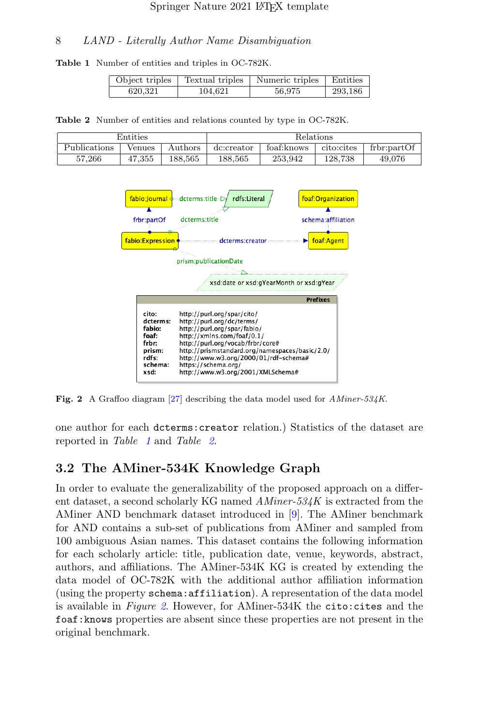Table 1 Number of entities and triples in OC-782K.

<span id="page-7-0"></span>

| Object triples |         | Textual triples   Numeric triples   Entities |         |
|----------------|---------|----------------------------------------------|---------|
| 620,321        | 104,621 | 56,975                                       | 293,186 |

<span id="page-7-1"></span>Table 2 Number of entities and relations counted by type in OC-782K.

| Entities     |        | Relations |            |             |             |             |
|--------------|--------|-----------|------------|-------------|-------------|-------------|
| Publications | Venues | Authors   | dc:creator | foaf: knows | cito: cites | frbr:partOf |
| 57,266       | 47.355 | 188.565   | 188,565    | 253.942     | 128.738     | 49,076      |



<span id="page-7-2"></span>Fig. 2 A Graffoo diagram [\[27\]](#page-20-5) describing the data model used for AMiner-534K.

one author for each dcterms:creator relation.) Statistics of the dataset are reported in Table [1](#page-7-0) and Table [2](#page-7-1).

### 3.2 The AMiner-534K Knowledge Graph

In order to evaluate the generalizability of the proposed approach on a different dataset, a second scholarly KG named  $AMiner-534K$  is extracted from the AMiner AND benchmark dataset introduced in [\[9\]](#page-18-5). The AMiner benchmark for AND contains a sub-set of publications from AMiner and sampled from 100 ambiguous Asian names. This dataset contains the following information for each scholarly article: title, publication date, venue, keywords, abstract, authors, and affiliations. The AMiner-534K KG is created by extending the data model of OC-782K with the additional author affiliation information (using the property schema:affiliation). A representation of the data model is available in Figure [2](#page-7-2). However, for AMiner-534K the cito: cites and the foaf:knows properties are absent since these properties are not present in the original benchmark.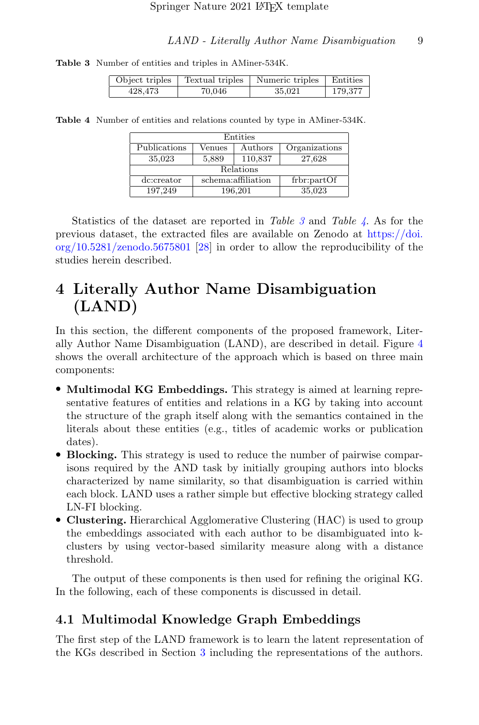Table 3 Number of entities and triples in AMiner-534K.

<span id="page-8-1"></span>

| Object triples |        | Textual triples   Numeric triples   Entities |         |
|----------------|--------|----------------------------------------------|---------|
| 428,473        | 70,046 | 35,021                                       | 179,377 |

Table 4 Number of entities and relations counted by type in AMiner-534K.

<span id="page-8-2"></span>

| Entities           |                    |         |               |  |
|--------------------|--------------------|---------|---------------|--|
| Publications       | Venues             | Authors | Organizations |  |
| 35,023             | 5,889              | 110,837 | 27,628        |  |
| Relations          |                    |         |               |  |
| dc:creator         | schema:affiliation |         | frbr:partOf   |  |
| 197.249<br>196,201 |                    | 35,023  |               |  |

Statistics of the dataset are reported in Table  $\beta$  and Table  $\gamma$ . As for the previous dataset, the extracted files are available on Zenodo at [https://doi.](https://doi.org/10.5281/zenodo.5675801) [org/10.5281/zenodo.5675801](https://doi.org/10.5281/zenodo.5675801) [\[28\]](#page-20-6) in order to allow the reproducibility of the studies herein described.

# <span id="page-8-0"></span>4 Literally Author Name Disambiguation (LAND)

In this section, the different components of the proposed framework, Literally Author Name Disambiguation (LAND), are described in detail. Figure [4](#page-8-0) shows the overall architecture of the approach which is based on three main components:

- Multimodal KG Embeddings. This strategy is aimed at learning representative features of entities and relations in a KG by taking into account the structure of the graph itself along with the semantics contained in the literals about these entities (e.g., titles of academic works or publication dates).
- Blocking. This strategy is used to reduce the number of pairwise comparisons required by the AND task by initially grouping authors into blocks characterized by name similarity, so that disambiguation is carried within each block. LAND uses a rather simple but effective blocking strategy called LN-FI blocking.
- Clustering. Hierarchical Agglomerative Clustering (HAC) is used to group the embeddings associated with each author to be disambiguated into kclusters by using vector-based similarity measure along with a distance threshold.

The output of these components is then used for refining the original KG. In the following, each of these components is discussed in detail.

# 4.1 Multimodal Knowledge Graph Embeddings

The first step of the LAND framework is to learn the latent representation of the KGs described in Section [3](#page-5-0) including the representations of the authors.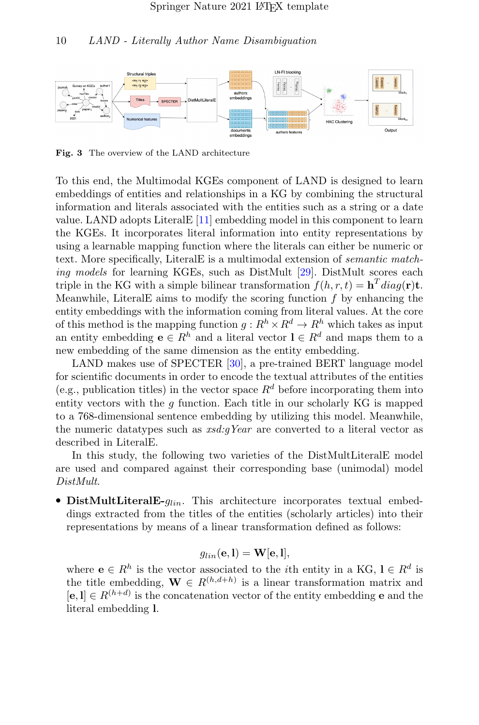

Fig. 3 The overview of the LAND architecture

To this end, the Multimodal KGEs component of LAND is designed to learn embeddings of entities and relationships in a KG by combining the structural information and literals associated with the entities such as a string or a date value. LAND adopts LiteralE [\[11\]](#page-18-7) embedding model in this component to learn the KGEs. It incorporates literal information into entity representations by using a learnable mapping function where the literals can either be numeric or text. More specifically, LiteralE is a multimodal extension of semantic match-ing models for learning KGEs, such as DistMult [\[29\]](#page-20-7). DistMult scores each triple in the KG with a simple bilinear transformation  $f(h, r, t) = \mathbf{h}^T diag(\mathbf{r}) \mathbf{t}$ . Meanwhile, Literal E aims to modify the scoring function  $f$  by enhancing the entity embeddings with the information coming from literal values. At the core of this method is the mapping function  $q: R^h \times R^d \to R^h$  which takes as input an entity embedding  $e \in R^h$  and a literal vector  $l \in R^d$  and maps them to a new embedding of the same dimension as the entity embedding.

LAND makes use of SPECTER [\[30\]](#page-20-8), a pre-trained BERT language model for scientific documents in order to encode the textual attributes of the entities (e.g., publication titles) in the vector space  $R^d$  before incorporating them into entity vectors with the  $q$  function. Each title in our scholarly KG is mapped to a 768-dimensional sentence embedding by utilizing this model. Meanwhile, the numeric datatypes such as  $rsd:qYear$  are converted to a literal vector as described in LiteralE.

In this study, the following two varieties of the DistMultLiteralE model are used and compared against their corresponding base (unimodal) model DistMult.

• DistMultLiteralE- $g_{lin}$ . This architecture incorporates textual embeddings extracted from the titles of the entities (scholarly articles) into their representations by means of a linear transformation defined as follows:

$$
g_{lin}(\mathbf{e}, \mathbf{l}) = \mathbf{W}[\mathbf{e}, \mathbf{l}],
$$

where  $e \in R^h$  is the vector associated to the *i*th entity in a KG,  $l \in R^d$  is the title embedding,  $\mathbf{W} \in R^{(h,d+h)}$  is a linear transformation matrix and  $[e,1] \in R^{(h+d)}$  is the concatenation vector of the entity embedding **e** and the literal embedding l.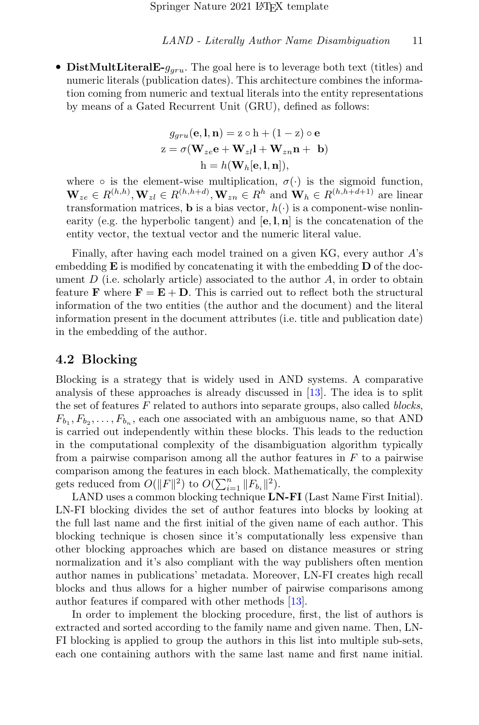• DistMultLiteralE- $q_{grav}$ . The goal here is to leverage both text (titles) and numeric literals (publication dates). This architecture combines the information coming from numeric and textual literals into the entity representations by means of a Gated Recurrent Unit (GRU), defined as follows:

$$
g_{gru}(\mathbf{e}, \mathbf{l}, \mathbf{n}) = \mathbf{z} \circ \mathbf{h} + (1 - \mathbf{z}) \circ \mathbf{e}
$$

$$
\mathbf{z} = \sigma(\mathbf{W}_{ze}\mathbf{e} + \mathbf{W}_{zl}\mathbf{l} + \mathbf{W}_{zn}\mathbf{n} + \mathbf{b})
$$

$$
\mathbf{h} = h(\mathbf{W}_h[\mathbf{e}, \mathbf{l}, \mathbf{n}]),
$$

where  $\circ$  is the element-wise multiplication,  $\sigma(\cdot)$  is the sigmoid function,  $\mathbf{W}_{ze} \in R^{(h,h)}, \mathbf{W}_{zl} \in R^{(h,h+d)}, \mathbf{W}_{zn} \in R^h$  and  $\mathbf{W}_h \in R^{(h,h+d+1)}$  are linear transformation matrices, **b** is a bias vector,  $h(\cdot)$  is a component-wise nonlinearity (e.g. the hyperbolic tangent) and  $[e, l, n]$  is the concatenation of the entity vector, the textual vector and the numeric literal value.

Finally, after having each model trained on a given KG, every author A's embedding  $\bf{E}$  is modified by concatenating it with the embedding  $\bf{D}$  of the document  $D$  (i.e. scholarly article) associated to the author  $A$ , in order to obtain feature **F** where  $\mathbf{F} = \mathbf{E} + \mathbf{D}$ . This is carried out to reflect both the structural information of the two entities (the author and the document) and the literal information present in the document attributes (i.e. title and publication date) in the embedding of the author.

#### 4.2 Blocking

Blocking is a strategy that is widely used in AND systems. A comparative analysis of these approaches is already discussed in [\[13\]](#page-19-0). The idea is to split the set of features  $F$  related to authors into separate groups, also called *blocks*,  $F_{b_1}, F_{b_2}, \ldots, F_{b_n}$ , each one associated with an ambiguous name, so that AND is carried out independently within these blocks. This leads to the reduction in the computational complexity of the disambiguation algorithm typically from a pairwise comparison among all the author features in  $F$  to a pairwise comparison among the features in each block. Mathematically, the complexity gets reduced from  $O(||F||^2)$  to  $O(\sum_{i=1}^n ||F_{b_i}||^2)$ .

LAND uses a common blocking technique **LN-FI** (Last Name First Initial). LN-FI blocking divides the set of author features into blocks by looking at the full last name and the first initial of the given name of each author. This blocking technique is chosen since it's computationally less expensive than other blocking approaches which are based on distance measures or string normalization and it's also compliant with the way publishers often mention author names in publications' metadata. Moreover, LN-FI creates high recall blocks and thus allows for a higher number of pairwise comparisons among author features if compared with other methods [\[13\]](#page-19-0).

In order to implement the blocking procedure, first, the list of authors is extracted and sorted according to the family name and given name. Then, LN-FI blocking is applied to group the authors in this list into multiple sub-sets, each one containing authors with the same last name and first name initial.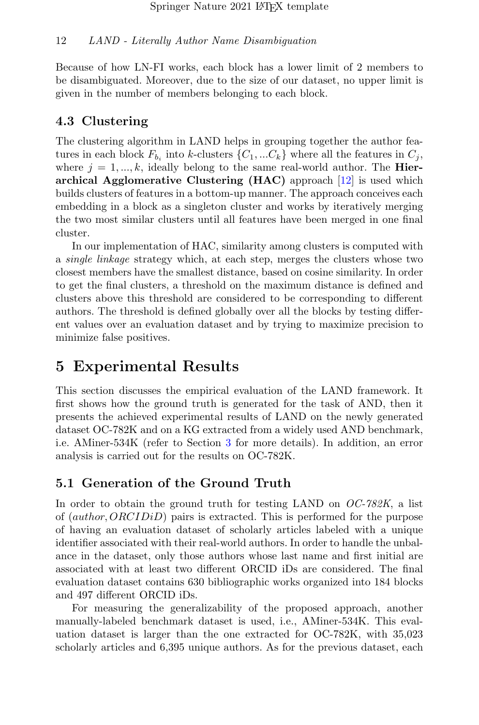Because of how LN-FI works, each block has a lower limit of 2 members to be disambiguated. Moreover, due to the size of our dataset, no upper limit is given in the number of members belonging to each block.

# 4.3 Clustering

The clustering algorithm in LAND helps in grouping together the author features in each block  $F_{b_i}$  into k-clusters  $\{C_1, ... C_k\}$  where all the features in  $C_j$ , where  $j = 1, ..., k$ , ideally belong to the same real-world author. The **Hier**archical Agglomerative Clustering (HAC) approach [\[12\]](#page-18-8) is used which builds clusters of features in a bottom-up manner. The approach conceives each embedding in a block as a singleton cluster and works by iteratively merging the two most similar clusters until all features have been merged in one final cluster.

In our implementation of HAC, similarity among clusters is computed with a single linkage strategy which, at each step, merges the clusters whose two closest members have the smallest distance, based on cosine similarity. In order to get the final clusters, a threshold on the maximum distance is defined and clusters above this threshold are considered to be corresponding to different authors. The threshold is defined globally over all the blocks by testing different values over an evaluation dataset and by trying to maximize precision to minimize false positives.

# <span id="page-11-0"></span>5 Experimental Results

This section discusses the empirical evaluation of the LAND framework. It first shows how the ground truth is generated for the task of AND, then it presents the achieved experimental results of LAND on the newly generated dataset OC-782K and on a KG extracted from a widely used AND benchmark, i.e. AMiner-534K (refer to Section [3](#page-5-0) for more details). In addition, an error analysis is carried out for the results on OC-782K.

# 5.1 Generation of the Ground Truth

In order to obtain the ground truth for testing LAND on  $OC-782K$ , a list of (author, ORCIDiD) pairs is extracted. This is performed for the purpose of having an evaluation dataset of scholarly articles labeled with a unique identifier associated with their real-world authors. In order to handle the unbalance in the dataset, only those authors whose last name and first initial are associated with at least two different ORCID iDs are considered. The final evaluation dataset contains 630 bibliographic works organized into 184 blocks and 497 different ORCID iDs.

For measuring the generalizability of the proposed approach, another manually-labeled benchmark dataset is used, i.e., AMiner-534K. This evaluation dataset is larger than the one extracted for OC-782K, with 35,023 scholarly articles and 6,395 unique authors. As for the previous dataset, each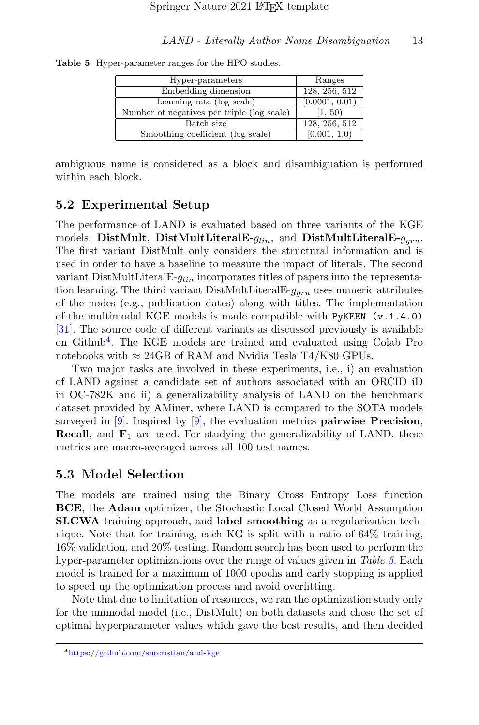Table 5 Hyper-parameter ranges for the HPO studies.

<span id="page-12-1"></span>

| Hyper-parameters                           | Ranges         |
|--------------------------------------------|----------------|
| Embedding dimension                        | 128, 256, 512  |
| Learning rate (log scale)                  | [0.0001, 0.01) |
| Number of negatives per triple (log scale) | [1, 50)        |
| Batch size                                 | 128, 256, 512  |
| Smoothing coefficient (log scale)          | [0.001, 1.0)   |

ambiguous name is considered as a block and disambiguation is performed within each block.

### 5.2 Experimental Setup

The performance of LAND is evaluated based on three variants of the KGE models: DistMult, DistMultLiteralE- $g_{lin}$ , and DistMultLiteralE- $g_{aru}$ . The first variant DistMult only considers the structural information and is used in order to have a baseline to measure the impact of literals. The second variant DistMultLiteralE- $q_{lin}$  incorporates titles of papers into the representation learning. The third variant DistMultLiteral E- $g_{aru}$  uses numeric attributes of the nodes (e.g., publication dates) along with titles. The implementation of the multimodal KGE models is made compatible with PyKEEN (v.1.4.0) [\[31\]](#page-21-0). The source code of different variants as discussed previously is available on Github[4](#page-12-0) . The KGE models are trained and evaluated using Colab Pro notebooks with  $\approx 24GB$  of RAM and Nvidia Tesla T4/K80 GPUs.

Two major tasks are involved in these experiments, i.e., i) an evaluation of LAND against a candidate set of authors associated with an ORCID iD in OC-782K and ii) a generalizability analysis of LAND on the benchmark dataset provided by AMiner, where LAND is compared to the SOTA models surveyed in  $[9]$ . Inspired by  $[9]$ , the evaluation metrics **pairwise Precision**, **Recall**, and  $\mathbf{F}_1$  are used. For studying the generalizability of LAND, these metrics are macro-averaged across all 100 test names.

#### 5.3 Model Selection

The models are trained using the Binary Cross Entropy Loss function BCE, the Adam optimizer, the Stochastic Local Closed World Assumption SLCWA training approach, and label smoothing as a regularization technique. Note that for training, each KG is split with a ratio of 64% training, 16% validation, and 20% testing. Random search has been used to perform the hyper-parameter optimizations over the range of values given in Table [5](#page-12-1). Each model is trained for a maximum of 1000 epochs and early stopping is applied to speed up the optimization process and avoid overfitting.

Note that due to limitation of resources, we ran the optimization study only for the unimodal model (i.e., DistMult) on both datasets and chose the set of optimal hyperparameter values which gave the best results, and then decided

<span id="page-12-0"></span><sup>4</sup><https://github.com/sntcristian/and-kge>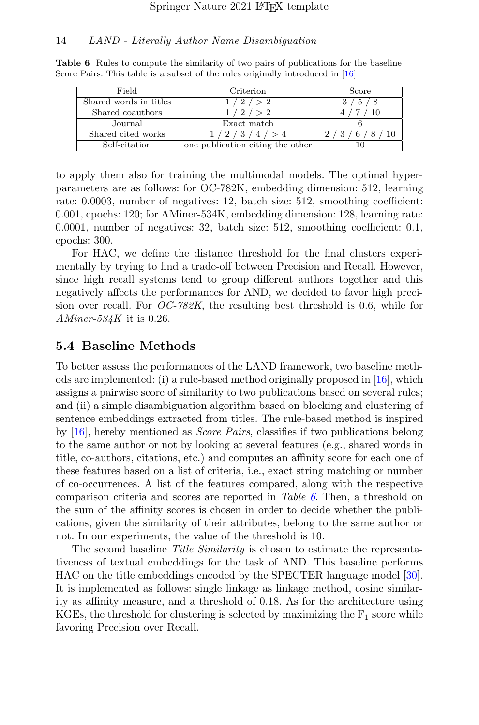<span id="page-13-0"></span>

| Field                  | Criterion                        | Score |
|------------------------|----------------------------------|-------|
| Shared words in titles | 2 / > 2                          | .5    |
| Shared coauthors       | 12/ > 2                          |       |
| Journal                | Exact match                      |       |
| Shared cited works     | 1/2/3/4/>4                       |       |
| Self-citation          | one publication citing the other |       |

Table 6 Rules to compute the similarity of two pairs of publications for the baseline Score Pairs. This table is a subset of the rules originally introduced in [\[16\]](#page-19-3)

to apply them also for training the multimodal models. The optimal hyperparameters are as follows: for OC-782K, embedding dimension: 512, learning rate: 0.0003, number of negatives: 12, batch size: 512, smoothing coefficient: 0.001, epochs: 120; for AMiner-534K, embedding dimension: 128, learning rate: 0.0001, number of negatives: 32, batch size: 512, smoothing coefficient: 0.1, epochs: 300.

For HAC, we define the distance threshold for the final clusters experimentally by trying to find a trade-off between Precision and Recall. However, since high recall systems tend to group different authors together and this negatively affects the performances for AND, we decided to favor high precision over recall. For  $OC-782K$ , the resulting best threshold is 0.6, while for  $AMiner-534K$  it is 0.26.

### 5.4 Baseline Methods

To better assess the performances of the LAND framework, two baseline methods are implemented: (i) a rule-based method originally proposed in [\[16\]](#page-19-3), which assigns a pairwise score of similarity to two publications based on several rules; and (ii) a simple disambiguation algorithm based on blocking and clustering of sentence embeddings extracted from titles. The rule-based method is inspired by [\[16\]](#page-19-3), hereby mentioned as Score Pairs, classifies if two publications belong to the same author or not by looking at several features (e.g., shared words in title, co-authors, citations, etc.) and computes an affinity score for each one of these features based on a list of criteria, i.e., exact string matching or number of co-occurrences. A list of the features compared, along with the respective comparison criteria and scores are reported in Table  $6$ . Then, a threshold on the sum of the affinity scores is chosen in order to decide whether the publications, given the similarity of their attributes, belong to the same author or not. In our experiments, the value of the threshold is 10.

The second baseline Title Similarity is chosen to estimate the representativeness of textual embeddings for the task of AND. This baseline performs HAC on the title embeddings encoded by the SPECTER language model [\[30\]](#page-20-8). It is implemented as follows: single linkage as linkage method, cosine similarity as affinity measure, and a threshold of 0.18. As for the architecture using KGEs, the threshold for clustering is selected by maximizing the  $F_1$  score while favoring Precision over Recall.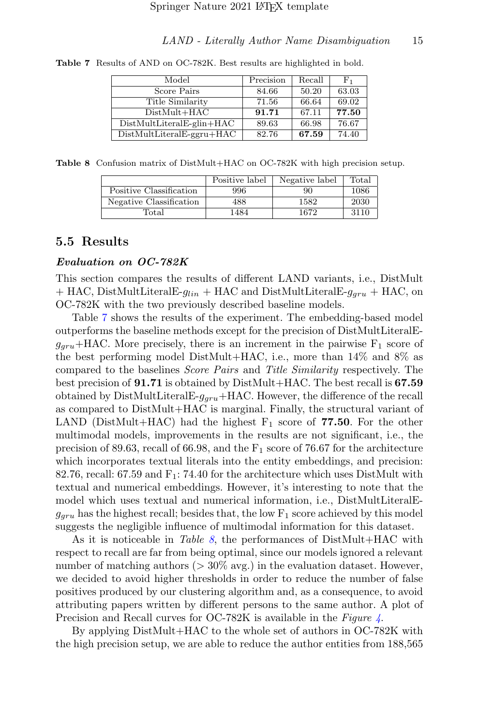<span id="page-14-0"></span>

| Model                       | Precision | Recall | $_{\rm F_1}$ |
|-----------------------------|-----------|--------|--------------|
| Score Pairs                 | 84.66     | 50.20  | 63.03        |
| Title Similarity            | 71.56     | 66.64  | 69.02        |
| $DistMult+HAC$              | 91.71     | 67.11  | 77.50        |
| $DistMultLiteralE-glin+HAC$ | 89.63     | 66.98  | 76.67        |
| $DistMultLiteralE-ggru+HAC$ | 82.76     | 67.59  | 74.40        |

Table 7 Results of AND on OC-782K. Best results are highlighted in bold.

Table 8 Confusion matrix of DistMult+HAC on OC-782K with high precision setup.

<span id="page-14-1"></span>

|                         | Positive label | Negative label | Total |
|-------------------------|----------------|----------------|-------|
| Positive Classification | 996            | 90             | 1086  |
| Negative Classification | 488            | 1582           | 2030  |
| Total                   | 1484           | 1672           | 3110  |

#### 5.5 Results

#### Evaluation on OC-782K

This section compares the results of different LAND variants, i.e., DistMult  $+$  HAC, DistMultLiteralE- $q_{lin}$  + HAC and DistMultLiteralE- $q_{gru}$  + HAC, on OC-782K with the two previously described baseline models.

Table [7](#page-14-0) shows the results of the experiment. The embedding-based model outperforms the baseline methods except for the precision of DistMultLiteralE $g_{\text{grav}}$ +HAC. More precisely, there is an increment in the pairwise  $F_1$  score of the best performing model DistMult+HAC, i.e., more than 14% and 8% as compared to the baselines Score Pairs and Title Similarity respectively. The best precision of 91.71 is obtained by DistMult+HAC. The best recall is 67.59 obtained by DistMultLiteralE- $g_{aru}$ +HAC. However, the difference of the recall as compared to DistMult+HAC is marginal. Finally, the structural variant of LAND (DistMult+HAC) had the highest  $F_1$  score of 77.50. For the other multimodal models, improvements in the results are not significant, i.e., the precision of 89.63, recall of 66.98, and the  $F_1$  score of 76.67 for the architecture which incorporates textual literals into the entity embeddings, and precision: 82.76, recall: 67.59 and  $F_1$ : 74.40 for the architecture which uses DistMult with textual and numerical embeddings. However, it's interesting to note that the model which uses textual and numerical information, i.e., DistMultLiteralE $g_{\text{grav}}$  has the highest recall; besides that, the low  $F_1$  score achieved by this model suggests the negligible influence of multimodal information for this dataset.

As it is noticeable in Table [8](#page-14-1), the performances of DistMult+HAC with respect to recall are far from being optimal, since our models ignored a relevant number of matching authors  $(>30\% \text{ avg.})$  in the evaluation dataset. However, we decided to avoid higher thresholds in order to reduce the number of false positives produced by our clustering algorithm and, as a consequence, to avoid attributing papers written by different persons to the same author. A plot of Precision and Recall curves for OC-782K is available in the Figure  $\frac{1}{4}$  $\frac{1}{4}$  $\frac{1}{4}$ .

By applying DistMult+HAC to the whole set of authors in OC-782K with the high precision setup, we are able to reduce the author entities from 188,565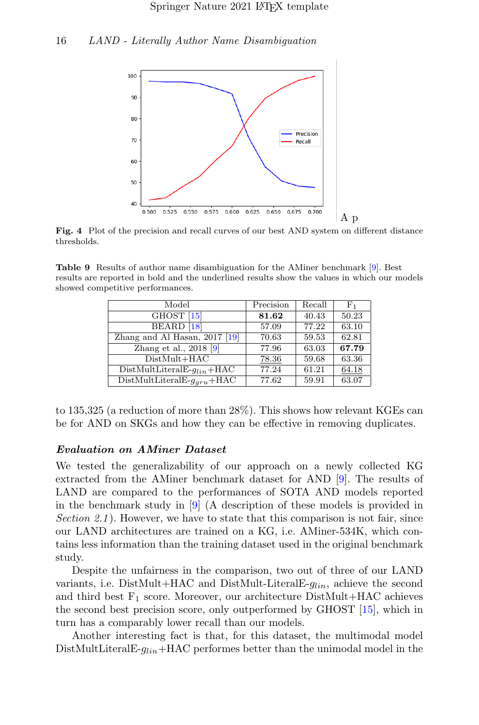

<span id="page-15-0"></span>Fig. 4 Plot of the precision and recall curves of our best AND system on different distance thresholds.

Table 9 Results of author name disambiguation for the AMiner benchmark [\[9\]](#page-18-5). Best results are reported in bold and the underlined results show the values in which our models showed competitive performances.

| Model                                             | Precision | Recall | $_{\rm F_1}$ |
|---------------------------------------------------|-----------|--------|--------------|
| GHOST <sup>[15]</sup>                             | 81.62     | 40.43  | 50.23        |
| BEARD <sup>[18]</sup>                             | 57.09     | 77.22  | 63.10        |
| Zhang and Al Hasan, $2017$ [19]                   | 70.63     | 59.53  | 62.81        |
| Zhang et al., $2018$ [9]                          | 77.96     | 63.03  | 67.79        |
| $\overline{\text{Dist}}\text{Mult} + \text{HAC}$  | 78.36     | 59.68  | 63.36        |
| $DistMultLiterale-q_{lin} + HAC$                  | 77.24     | 61.21  | 64.18        |
| $\overline{\text{DistMultLiteralE-}g_{gru}}$ +HAC | 77.62     | 59.91  | 63.07        |

to 135,325 (a reduction of more than 28%). This shows how relevant KGEs can be for AND on SKGs and how they can be effective in removing duplicates.

#### Evaluation on AMiner Dataset

We tested the generalizability of our approach on a newly collected KG extracted from the AMiner benchmark dataset for AND [\[9\]](#page-18-5). The results of LAND are compared to the performances of SOTA AND models reported in the benchmark study in [\[9\]](#page-18-5) (A description of these models is provided in Section 2.1). However, we have to state that this comparison is not fair, since our LAND architectures are trained on a KG, i.e. AMiner-534K, which contains less information than the training dataset used in the original benchmark study.

Despite the unfairness in the comparison, two out of three of our LAND variants, i.e. DistMult+HAC and DistMult-Literal E- $g_{lin}$ , achieve the second and third best  $F_1$  score. Moreover, our architecture DistMult+HAC achieves the second best precision score, only outperformed by GHOST [\[15\]](#page-19-2), which in turn has a comparably lower recall than our models.

Another interesting fact is that, for this dataset, the multimodal model DistMultLiteralE- $g_{lin}$ +HAC performes better than the unimodal model in the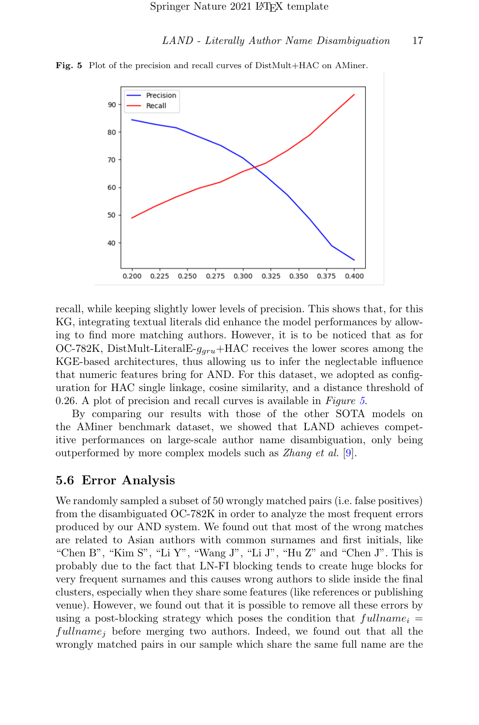<span id="page-16-0"></span>

Fig. 5 Plot of the precision and recall curves of DistMult+HAC on AMiner.

recall, while keeping slightly lower levels of precision. This shows that, for this KG, integrating textual literals did enhance the model performances by allowing to find more matching authors. However, it is to be noticed that as for OC-782K, DistMult-LiteralE- $g_{aru}$ +HAC receives the lower scores among the KGE-based architectures, thus allowing us to infer the neglectable influence that numeric features bring for AND. For this dataset, we adopted as configuration for HAC single linkage, cosine similarity, and a distance threshold of 0.26. A plot of precision and recall curves is available in Figure [5](#page-16-0).

By comparing our results with those of the other SOTA models on the AMiner benchmark dataset, we showed that LAND achieves competitive performances on large-scale author name disambiguation, only being outperformed by more complex models such as Zhang et al. [\[9\]](#page-18-5).

#### 5.6 Error Analysis

We randomly sampled a subset of 50 wrongly matched pairs (i.e. false positives) from the disambiguated OC-782K in order to analyze the most frequent errors produced by our AND system. We found out that most of the wrong matches are related to Asian authors with common surnames and first initials, like "Chen B", "Kim S", "Li Y", "Wang J", "Li J", "Hu Z" and "Chen J". This is probably due to the fact that LN-FI blocking tends to create huge blocks for very frequent surnames and this causes wrong authors to slide inside the final clusters, especially when they share some features (like references or publishing venue). However, we found out that it is possible to remove all these errors by using a post-blocking strategy which poses the condition that  $fullname_i =$  $fullname_i$  before merging two authors. Indeed, we found out that all the wrongly matched pairs in our sample which share the same full name are the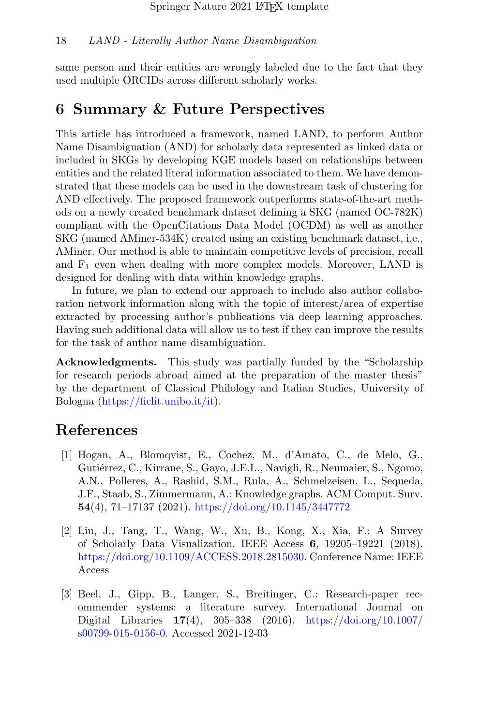same person and their entities are wrongly labeled due to the fact that they used multiple ORCIDs across different scholarly works.

# <span id="page-17-3"></span>6 Summary & Future Perspectives

This article has introduced a framework, named LAND, to perform Author Name Disambiguation (AND) for scholarly data represented as linked data or included in SKGs by developing KGE models based on relationships between entities and the related literal information associated to them. We have demonstrated that these models can be used in the downstream task of clustering for AND effectively. The proposed framework outperforms state-of-the-art methods on a newly created benchmark dataset defining a SKG (named OC-782K) compliant with the OpenCitations Data Model (OCDM) as well as another SKG (named AMiner-534K) created using an existing benchmark dataset, i.e., AMiner. Our method is able to maintain competitive levels of precision, recall and  $F_1$  even when dealing with more complex models. Moreover, LAND is designed for dealing with data within knowledge graphs.

In future, we plan to extend our approach to include also author collaboration network information along with the topic of interest/area of expertise extracted by processing author's publications via deep learning approaches. Having such additional data will allow us to test if they can improve the results for the task of author name disambiguation.

Acknowledgments. This study was partially funded by the "Scholarship for research periods abroad aimed at the preparation of the master thesis" by the department of Classical Philology and Italian Studies, University of Bologna [\(https://ficlit.unibo.it/it\)](https://ficlit.unibo.it/it).

# References

- <span id="page-17-0"></span>[1] Hogan, A., Blomqvist, E., Cochez, M., d'Amato, C., de Melo, G., Gutiérrez, C., Kirrane, S., Gayo, J.E.L., Navigli, R., Neumaier, S., Ngomo, A.N., Polleres, A., Rashid, S.M., Rula, A., Schmelzeisen, L., Sequeda, J.F., Staab, S., Zimmermann, A.: Knowledge graphs. ACM Comput. Surv. 54(4), 71–17137 (2021). <https://doi.org/10.1145/3447772>
- <span id="page-17-1"></span>[2] Liu, J., Tang, T., Wang, W., Xu, B., Kong, X., Xia, F.: A Survey of Scholarly Data Visualization. IEEE Access 6, 19205–19221 (2018). [https://doi.org/10.1109/ACCESS.2018.2815030.](https://doi.org/10.1109/ACCESS.2018.2815030) Conference Name: IEEE Access
- <span id="page-17-2"></span>[3] Beel, J., Gipp, B., Langer, S., Breitinger, C.: Research-paper recommender systems: a literature survey. International Journal on Digital Libraries 17(4), 305–338 (2016). [https://doi.org/10.1007/](https://doi.org/10.1007/s00799-015-0156-0) [s00799-015-0156-0.](https://doi.org/10.1007/s00799-015-0156-0) Accessed 2021-12-03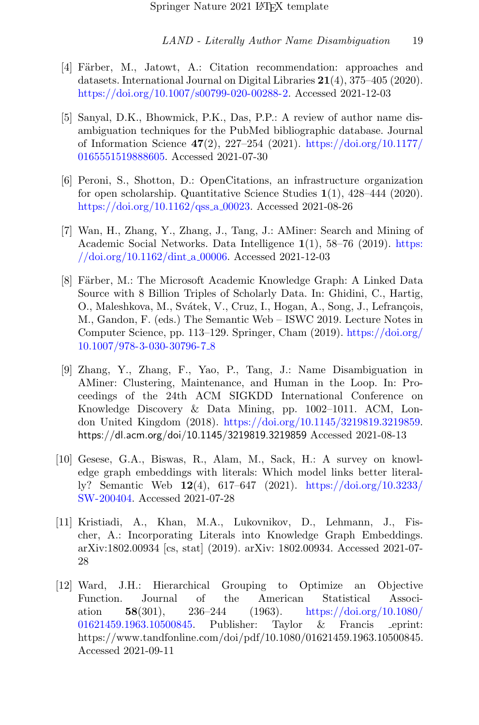- <span id="page-18-0"></span>[4] Färber, M., Jatowt, A.: Citation recommendation: approaches and datasets. International Journal on Digital Libraries 21(4), 375–405 (2020). [https://doi.org/10.1007/s00799-020-00288-2.](https://doi.org/10.1007/s00799-020-00288-2) Accessed 2021-12-03
- <span id="page-18-1"></span>[5] Sanyal, D.K., Bhowmick, P.K., Das, P.P.: A review of author name disambiguation techniques for the PubMed bibliographic database. Journal of Information Science 47(2), 227–254 (2021). [https://doi.org/10.1177/](https://doi.org/10.1177/0165551519888605) [0165551519888605.](https://doi.org/10.1177/0165551519888605) Accessed 2021-07-30
- <span id="page-18-2"></span>[6] Peroni, S., Shotton, D.: OpenCitations, an infrastructure organization for open scholarship. Quantitative Science Studies 1(1), 428–444 (2020). [https://doi.org/10.1162/qss](https://doi.org/10.1162/qss_a_00023)\_a\_00023. Accessed 2021-08-26
- <span id="page-18-3"></span>[7] Wan, H., Zhang, Y., Zhang, J., Tang, J.: AMiner: Search and Mining of Academic Social Networks. Data Intelligence 1(1), 58–76 (2019). [https:](https://doi.org/10.1162/dint_a_00006) [//doi.org/10.1162/dint](https://doi.org/10.1162/dint_a_00006) a 00006. Accessed 2021-12-03
- <span id="page-18-4"></span>[8] Färber, M.: The Microsoft Academic Knowledge Graph: A Linked Data Source with 8 Billion Triples of Scholarly Data. In: Ghidini, C., Hartig, O., Maleshkova, M., Svátek, V., Cruz, I., Hogan, A., Song, J., Lefrançois, M., Gandon, F. (eds.) The Semantic Web – ISWC 2019. Lecture Notes in Computer Science, pp. 113–129. Springer, Cham (2019). [https://doi.org/](https://doi.org/10.1007/978-3-030-30796-7_8) [10.1007/978-3-030-30796-7](https://doi.org/10.1007/978-3-030-30796-7_8) 8
- <span id="page-18-5"></span>[9] Zhang, Y., Zhang, F., Yao, P., Tang, J.: Name Disambiguation in AMiner: Clustering, Maintenance, and Human in the Loop. In: Proceedings of the 24th ACM SIGKDD International Conference on Knowledge Discovery & Data Mining, pp. 1002–1011. ACM, London United Kingdom (2018). [https://doi.org/10.1145/3219819.3219859.](https://doi.org/10.1145/3219819.3219859) https://dl.acm.org/doi/10.1145/3219819.3219859 Accessed 2021-08-13
- <span id="page-18-6"></span>[10] Gesese, G.A., Biswas, R., Alam, M., Sack, H.: A survey on knowledge graph embeddings with literals: Which model links better literally? Semantic Web 12(4), 617–647 (2021). [https://doi.org/10.3233/](https://doi.org/10.3233/SW-200404) [SW-200404.](https://doi.org/10.3233/SW-200404) Accessed 2021-07-28
- <span id="page-18-7"></span>[11] Kristiadi, A., Khan, M.A., Lukovnikov, D., Lehmann, J., Fischer, A.: Incorporating Literals into Knowledge Graph Embeddings. arXiv:1802.00934 [cs, stat] (2019). arXiv: 1802.00934. Accessed 2021-07- 28
- <span id="page-18-8"></span>[12] Ward, J.H.: Hierarchical Grouping to Optimize an Objective Function. Journal of the American Statistical Association 58(301),  $236-244$  (1963). [https://doi.org/10.1080/](https://doi.org/10.1080/01621459.1963.10500845) [01621459.1963.10500845.](https://doi.org/10.1080/01621459.1963.10500845) Publisher: Taylor & Francis eprint: https://www.tandfonline.com/doi/pdf/10.1080/01621459.1963.10500845. Accessed 2021-09-11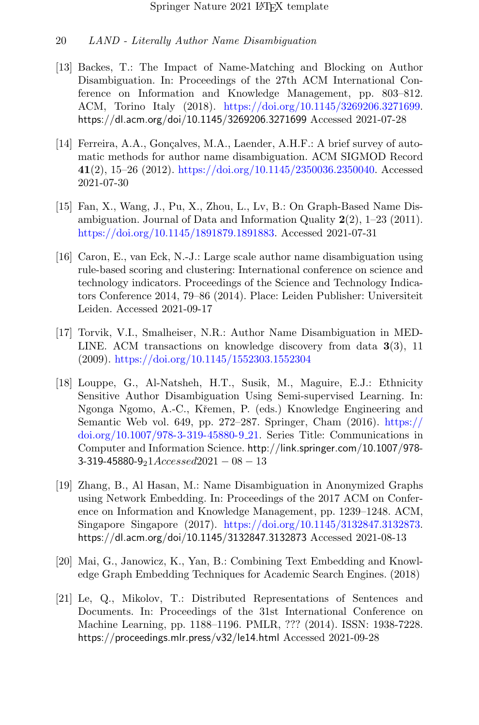- <span id="page-19-0"></span>[13] Backes, T.: The Impact of Name-Matching and Blocking on Author Disambiguation. In: Proceedings of the 27th ACM International Conference on Information and Knowledge Management, pp. 803–812. ACM, Torino Italy (2018). [https://doi.org/10.1145/3269206.3271699.](https://doi.org/10.1145/3269206.3271699) https://dl.acm.org/doi/10.1145/3269206.3271699 Accessed 2021-07-28
- <span id="page-19-1"></span>[14] Ferreira, A.A., Gonçalves, M.A., Laender, A.H.F.: A brief survey of automatic methods for author name disambiguation. ACM SIGMOD Record 41(2), 15–26 (2012). [https://doi.org/10.1145/2350036.2350040.](https://doi.org/10.1145/2350036.2350040) Accessed 2021-07-30
- <span id="page-19-2"></span>[15] Fan, X., Wang, J., Pu, X., Zhou, L., Lv, B.: On Graph-Based Name Disambiguation. Journal of Data and Information Quality  $2(2)$ ,  $1-23$  (2011). [https://doi.org/10.1145/1891879.1891883.](https://doi.org/10.1145/1891879.1891883) Accessed 2021-07-31
- <span id="page-19-3"></span>[16] Caron, E., van Eck, N.-J.: Large scale author name disambiguation using rule-based scoring and clustering: International conference on science and technology indicators. Proceedings of the Science and Technology Indicators Conference 2014, 79–86 (2014). Place: Leiden Publisher: Universiteit Leiden. Accessed 2021-09-17
- <span id="page-19-4"></span>[17] Torvik, V.I., Smalheiser, N.R.: Author Name Disambiguation in MED-LINE. ACM transactions on knowledge discovery from data 3(3), 11 (2009). <https://doi.org/10.1145/1552303.1552304>
- <span id="page-19-5"></span>[18] Louppe, G., Al-Natsheh, H.T., Susik, M., Maguire, E.J.: Ethnicity Sensitive Author Disambiguation Using Semi-supervised Learning. In: Ngonga Ngomo, A.-C., Kˇremen, P. (eds.) Knowledge Engineering and Semantic Web vol. 649, pp. 272–287. Springer, Cham (2016). [https://](https://doi.org/10.1007/978-3-319-45880-9_21) [doi.org/10.1007/978-3-319-45880-9](https://doi.org/10.1007/978-3-319-45880-9_21) 21. Series Title: Communications in Computer and Information Science. http://link.springer.com/10.1007/978-  $3-319-45880-921Accessed2021-08-13$
- <span id="page-19-6"></span>[19] Zhang, B., Al Hasan, M.: Name Disambiguation in Anonymized Graphs using Network Embedding. In: Proceedings of the 2017 ACM on Conference on Information and Knowledge Management, pp. 1239–1248. ACM, Singapore Singapore (2017). [https://doi.org/10.1145/3132847.3132873.](https://doi.org/10.1145/3132847.3132873) https://dl.acm.org/doi/10.1145/3132847.3132873 Accessed 2021-08-13
- <span id="page-19-7"></span>[20] Mai, G., Janowicz, K., Yan, B.: Combining Text Embedding and Knowledge Graph Embedding Techniques for Academic Search Engines. (2018)
- <span id="page-19-8"></span>[21] Le, Q., Mikolov, T.: Distributed Representations of Sentences and Documents. In: Proceedings of the 31st International Conference on Machine Learning, pp. 1188–1196. PMLR, ??? (2014). ISSN: 1938-7228. https://proceedings.mlr.press/v32/le14.html Accessed 2021-09-28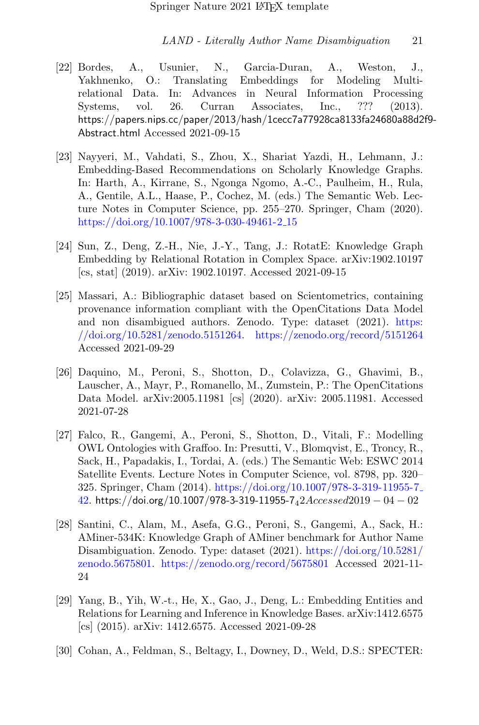- <span id="page-20-0"></span>[22] Bordes, A., Usunier, N., Garcia-Duran, A., Weston, J., Yakhnenko, O.: Translating Embeddings for Modeling Multirelational Data. In: Advances in Neural Information Processing Systems, vol. 26. Curran Associates, Inc., ??? (2013). https://papers.nips.cc/paper/2013/hash/1cecc7a77928ca8133fa24680a88d2f9- Abstract.html Accessed 2021-09-15
- <span id="page-20-1"></span>[23] Nayyeri, M., Vahdati, S., Zhou, X., Shariat Yazdi, H., Lehmann, J.: Embedding-Based Recommendations on Scholarly Knowledge Graphs. In: Harth, A., Kirrane, S., Ngonga Ngomo, A.-C., Paulheim, H., Rula, A., Gentile, A.L., Haase, P., Cochez, M. (eds.) The Semantic Web. Lecture Notes in Computer Science, pp. 255–270. Springer, Cham (2020). [https://doi.org/10.1007/978-3-030-49461-2](https://doi.org/10.1007/978-3-030-49461-2_15) 15
- <span id="page-20-2"></span>[24] Sun, Z., Deng, Z.-H., Nie, J.-Y., Tang, J.: RotatE: Knowledge Graph Embedding by Relational Rotation in Complex Space. arXiv:1902.10197 [cs, stat] (2019). arXiv: 1902.10197. Accessed 2021-09-15
- <span id="page-20-3"></span>[25] Massari, A.: Bibliographic dataset based on Scientometrics, containing provenance information compliant with the OpenCitations Data Model and non disambigued authors. Zenodo. Type: dataset (2021). [https:](https://doi.org/10.5281/zenodo.5151264) [//doi.org/10.5281/zenodo.5151264.](https://doi.org/10.5281/zenodo.5151264) <https://zenodo.org/record/5151264> Accessed 2021-09-29
- <span id="page-20-4"></span>[26] Daquino, M., Peroni, S., Shotton, D., Colavizza, G., Ghavimi, B., Lauscher, A., Mayr, P., Romanello, M., Zumstein, P.: The OpenCitations Data Model. arXiv:2005.11981 [cs] (2020). arXiv: 2005.11981. Accessed 2021-07-28
- <span id="page-20-5"></span>[27] Falco, R., Gangemi, A., Peroni, S., Shotton, D., Vitali, F.: Modelling OWL Ontologies with Graffoo. In: Presutti, V., Blomqvist, E., Troncy, R., Sack, H., Papadakis, I., Tordai, A. (eds.) The Semantic Web: ESWC 2014 Satellite Events. Lecture Notes in Computer Science, vol. 8798, pp. 320– 325. Springer, Cham (2014). [https://doi.org/10.1007/978-3-319-11955-7](https://doi.org/10.1007/978-3-319-11955-7_42) [42.](https://doi.org/10.1007/978-3-319-11955-7_42) https://doi.org/10.1007/978-3-319-11955-7 $_42Acces sed2019 - 04 - 02$
- <span id="page-20-6"></span>[28] Santini, C., Alam, M., Asefa, G.G., Peroni, S., Gangemi, A., Sack, H.: AMiner-534K: Knowledge Graph of AMiner benchmark for Author Name Disambiguation. Zenodo. Type: dataset (2021). [https://doi.org/10.5281/](https://doi.org/10.5281/zenodo.5675801) [zenodo.5675801.](https://doi.org/10.5281/zenodo.5675801) <https://zenodo.org/record/5675801> Accessed 2021-11- 24
- <span id="page-20-7"></span>[29] Yang, B., Yih, W.-t., He, X., Gao, J., Deng, L.: Embedding Entities and Relations for Learning and Inference in Knowledge Bases. arXiv:1412.6575 [cs] (2015). arXiv: 1412.6575. Accessed 2021-09-28
- <span id="page-20-8"></span>[30] Cohan, A., Feldman, S., Beltagy, I., Downey, D., Weld, D.S.: SPECTER: